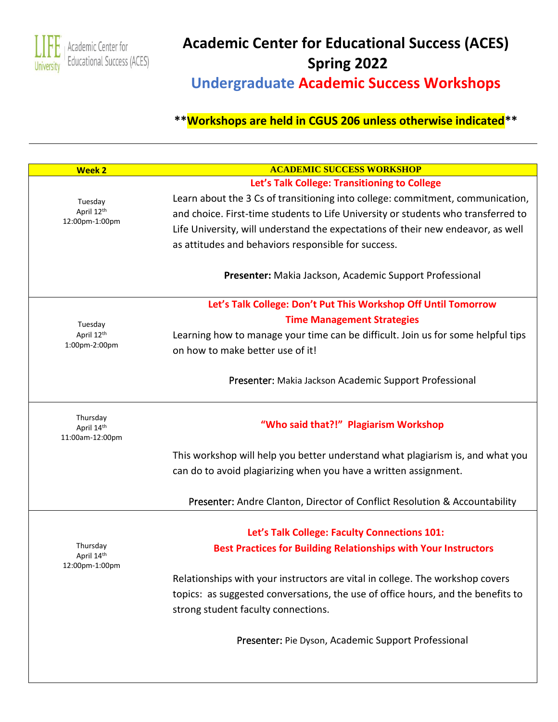

# **Academic Center for Educational Success (ACES) Spring 2022 Undergraduate Academic Success Workshops**

| <b>Week 2</b>                            | <b>ACADEMIC SUCCESS WORKSHOP</b>                                                  |
|------------------------------------------|-----------------------------------------------------------------------------------|
|                                          | Let's Talk College: Transitioning to College                                      |
| Tuesday                                  | Learn about the 3 Cs of transitioning into college: commitment, communication,    |
| April 12th<br>12:00pm-1:00pm             | and choice. First-time students to Life University or students who transferred to |
|                                          | Life University, will understand the expectations of their new endeavor, as well  |
|                                          | as attitudes and behaviors responsible for success.                               |
|                                          | Presenter: Makia Jackson, Academic Support Professional                           |
|                                          | Let's Talk College: Don't Put This Workshop Off Until Tomorrow                    |
| Tuesday                                  | <b>Time Management Strategies</b>                                                 |
| April 12th                               | Learning how to manage your time can be difficult. Join us for some helpful tips  |
| 1:00pm-2:00pm                            | on how to make better use of it!                                                  |
|                                          | Presenter: Makia Jackson Academic Support Professional                            |
| Thursday<br>April 14th                   | "Who said that?!" Plagiarism Workshop                                             |
| 11:00am-12:00pm                          |                                                                                   |
|                                          | This workshop will help you better understand what plagiarism is, and what you    |
|                                          | can do to avoid plagiarizing when you have a written assignment.                  |
|                                          | Presenter: Andre Clanton, Director of Conflict Resolution & Accountability        |
|                                          |                                                                                   |
|                                          | Let's Talk College: Faculty Connections 101:                                      |
| Thursday<br>April 14th<br>12:00pm-1:00pm | <b>Best Practices for Building Relationships with Your Instructors</b>            |
|                                          | Relationships with your instructors are vital in college. The workshop covers     |
|                                          | topics: as suggested conversations, the use of office hours, and the benefits to  |
|                                          | strong student faculty connections.                                               |
|                                          | Presenter: Pie Dyson, Academic Support Professional                               |
|                                          |                                                                                   |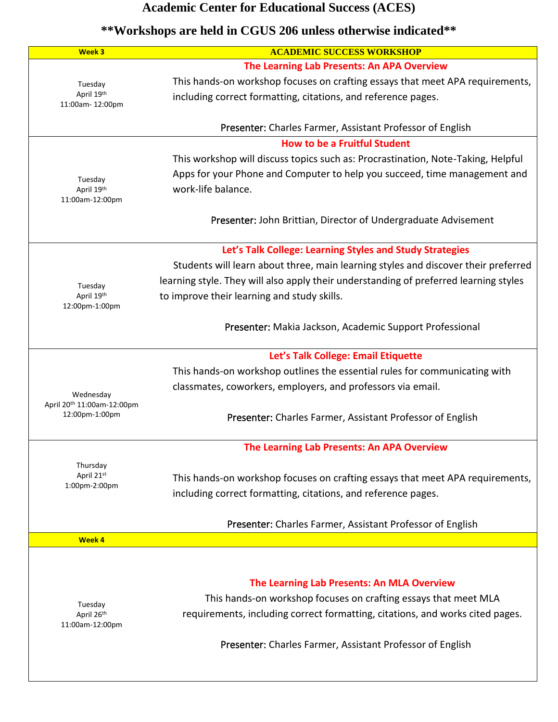| Week 3                                 | <b>ACADEMIC SUCCESS WORKSHOP</b>                                                      |
|----------------------------------------|---------------------------------------------------------------------------------------|
|                                        | The Learning Lab Presents: An APA Overview                                            |
| Tuesday                                | This hands-on workshop focuses on crafting essays that meet APA requirements,         |
| April 19th                             | including correct formatting, citations, and reference pages.                         |
| 11:00am-12:00pm                        |                                                                                       |
|                                        | Presenter: Charles Farmer, Assistant Professor of English                             |
|                                        | <b>How to be a Fruitful Student</b>                                                   |
|                                        | This workshop will discuss topics such as: Procrastination, Note-Taking, Helpful      |
|                                        | Apps for your Phone and Computer to help you succeed, time management and             |
| Tuesday<br>April 19th                  | work-life balance.                                                                    |
| 11:00am-12:00pm                        |                                                                                       |
|                                        |                                                                                       |
|                                        | Presenter: John Brittian, Director of Undergraduate Advisement                        |
|                                        | Let's Talk College: Learning Styles and Study Strategies                              |
|                                        | Students will learn about three, main learning styles and discover their preferred    |
|                                        |                                                                                       |
| Tuesday                                | learning style. They will also apply their understanding of preferred learning styles |
| April 19th<br>12:00pm-1:00pm           | to improve their learning and study skills.                                           |
|                                        |                                                                                       |
|                                        | Presenter: Makia Jackson, Academic Support Professional                               |
|                                        | Let's Talk College: Email Etiquette                                                   |
|                                        |                                                                                       |
|                                        | This hands-on workshop outlines the essential rules for communicating with            |
| Wednesday                              | classmates, coworkers, employers, and professors via email.                           |
| April 20 <sup>th</sup> 11:00am-12:00pm |                                                                                       |
| 12:00pm-1:00pm                         | Presenter: Charles Farmer, Assistant Professor of English                             |
|                                        |                                                                                       |
|                                        | The Learning Lab Presents: An APA Overview                                            |
| Thursday<br>April 21st                 |                                                                                       |
| 1:00pm-2:00pm                          | This hands-on workshop focuses on crafting essays that meet APA requirements,         |
|                                        | including correct formatting, citations, and reference pages.                         |
|                                        | Presenter: Charles Farmer, Assistant Professor of English                             |
| Week 4                                 |                                                                                       |
|                                        |                                                                                       |
|                                        |                                                                                       |
|                                        | The Learning Lab Presents: An MLA Overview                                            |
|                                        | This hands-on workshop focuses on crafting essays that meet MLA                       |
| Tuesday<br>April 26th                  | requirements, including correct formatting, citations, and works cited pages.         |
| 11:00am-12:00pm                        |                                                                                       |
|                                        |                                                                                       |
|                                        | Presenter: Charles Farmer, Assistant Professor of English                             |
|                                        |                                                                                       |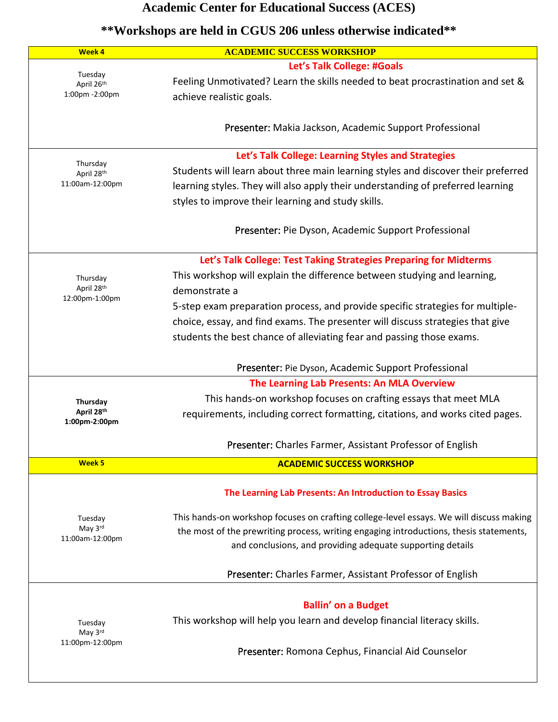| Week 4                        | <b>ACADEMIC SUCCESS WORKSHOP</b>                                                                                                                                     |
|-------------------------------|----------------------------------------------------------------------------------------------------------------------------------------------------------------------|
|                               | Let's Talk College: #Goals                                                                                                                                           |
| Tuesday<br>April 26th         | Feeling Unmotivated? Learn the skills needed to beat procrastination and set &                                                                                       |
| 1:00pm -2:00pm                | achieve realistic goals.                                                                                                                                             |
|                               |                                                                                                                                                                      |
|                               | Presenter: Makia Jackson, Academic Support Professional                                                                                                              |
|                               |                                                                                                                                                                      |
| Thursday                      | Let's Talk College: Learning Styles and Strategies                                                                                                                   |
| April 28th<br>11:00am-12:00pm | Students will learn about three main learning styles and discover their preferred<br>learning styles. They will also apply their understanding of preferred learning |
|                               | styles to improve their learning and study skills.                                                                                                                   |
|                               |                                                                                                                                                                      |
|                               | Presenter: Pie Dyson, Academic Support Professional                                                                                                                  |
|                               |                                                                                                                                                                      |
|                               | Let's Talk College: Test Taking Strategies Preparing for Midterms                                                                                                    |
| Thursday                      | This workshop will explain the difference between studying and learning,                                                                                             |
| April 28th<br>12:00pm-1:00pm  | demonstrate a                                                                                                                                                        |
|                               | 5-step exam preparation process, and provide specific strategies for multiple-                                                                                       |
|                               | choice, essay, and find exams. The presenter will discuss strategies that give                                                                                       |
|                               | students the best chance of alleviating fear and passing those exams.                                                                                                |
|                               |                                                                                                                                                                      |
|                               | Presenter: Pie Dyson, Academic Support Professional                                                                                                                  |
|                               | The Learning Lab Presents: An MLA Overview                                                                                                                           |
| Thursday<br>April 28th        | This hands-on workshop focuses on crafting essays that meet MLA                                                                                                      |
| 1:00pm-2:00pm                 | requirements, including correct formatting, citations, and works cited pages.                                                                                        |
|                               | Presenter: Charles Farmer, Assistant Professor of English                                                                                                            |
| Week <sub>5</sub>             |                                                                                                                                                                      |
|                               | <b>ACADEMIC SUCCESS WORKSHOP</b>                                                                                                                                     |
|                               | The Learning Lab Presents: An Introduction to Essay Basics                                                                                                           |
|                               |                                                                                                                                                                      |
| Tuesday<br>May 3rd            | This hands-on workshop focuses on crafting college-level essays. We will discuss making                                                                              |
| 11:00am-12:00pm               | the most of the prewriting process, writing engaging introductions, thesis statements,                                                                               |
|                               | and conclusions, and providing adequate supporting details                                                                                                           |
|                               | Presenter: Charles Farmer, Assistant Professor of English                                                                                                            |
|                               |                                                                                                                                                                      |
|                               | <b>Ballin' on a Budget</b>                                                                                                                                           |
| Tuesday                       | This workshop will help you learn and develop financial literacy skills.                                                                                             |
| May 3rd                       |                                                                                                                                                                      |
| 11:00pm-12:00pm               | Presenter: Romona Cephus, Financial Aid Counselor                                                                                                                    |
|                               |                                                                                                                                                                      |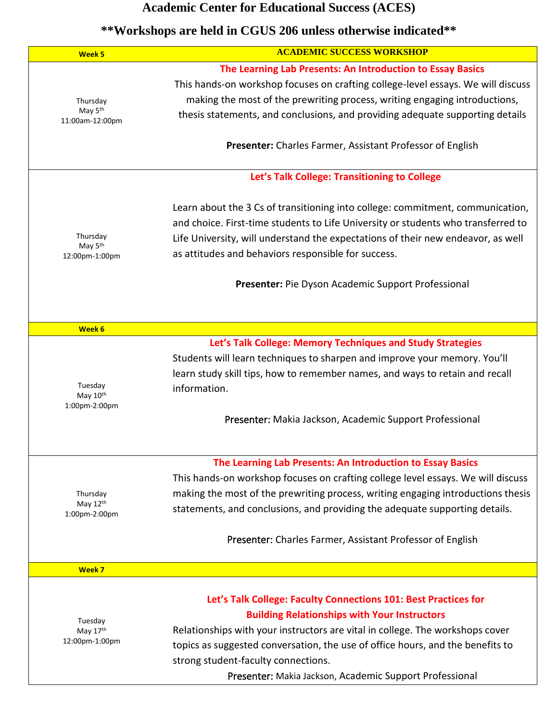| <b>Week 5</b>                                      | <b>ACADEMIC SUCCESS WORKSHOP</b>                                                                                                                                                                                                                                                                                                                                                            |
|----------------------------------------------------|---------------------------------------------------------------------------------------------------------------------------------------------------------------------------------------------------------------------------------------------------------------------------------------------------------------------------------------------------------------------------------------------|
| Thursday<br>May 5 <sup>th</sup><br>11:00am-12:00pm | The Learning Lab Presents: An Introduction to Essay Basics<br>This hands-on workshop focuses on crafting college-level essays. We will discuss<br>making the most of the prewriting process, writing engaging introductions,<br>thesis statements, and conclusions, and providing adequate supporting details<br>Presenter: Charles Farmer, Assistant Professor of English                  |
|                                                    |                                                                                                                                                                                                                                                                                                                                                                                             |
|                                                    | Let's Talk College: Transitioning to College                                                                                                                                                                                                                                                                                                                                                |
| Thursday<br>May 5 <sup>th</sup><br>12:00pm-1:00pm  | Learn about the 3 Cs of transitioning into college: commitment, communication,<br>and choice. First-time students to Life University or students who transferred to<br>Life University, will understand the expectations of their new endeavor, as well<br>as attitudes and behaviors responsible for success.                                                                              |
|                                                    | Presenter: Pie Dyson Academic Support Professional                                                                                                                                                                                                                                                                                                                                          |
|                                                    |                                                                                                                                                                                                                                                                                                                                                                                             |
| Week 6                                             |                                                                                                                                                                                                                                                                                                                                                                                             |
| Tuesday<br>May 10th<br>1:00pm-2:00pm               | Let's Talk College: Memory Techniques and Study Strategies<br>Students will learn techniques to sharpen and improve your memory. You'll<br>learn study skill tips, how to remember names, and ways to retain and recall<br>information.<br>Presenter: Makia Jackson, Academic Support Professional                                                                                          |
|                                                    | The Learning Lab Presents: An Introduction to Essay Basics                                                                                                                                                                                                                                                                                                                                  |
| Thursday<br>May 12th<br>1:00pm-2:00pm              | This hands-on workshop focuses on crafting college level essays. We will discuss<br>making the most of the prewriting process, writing engaging introductions thesis<br>statements, and conclusions, and providing the adequate supporting details.                                                                                                                                         |
|                                                    | Presenter: Charles Farmer, Assistant Professor of English                                                                                                                                                                                                                                                                                                                                   |
| Week 7                                             |                                                                                                                                                                                                                                                                                                                                                                                             |
| Tuesday<br>May 17th<br>12:00pm-1:00pm              | Let's Talk College: Faculty Connections 101: Best Practices for<br><b>Building Relationships with Your Instructors</b><br>Relationships with your instructors are vital in college. The workshops cover<br>topics as suggested conversation, the use of office hours, and the benefits to<br>strong student-faculty connections.<br>Presenter: Makia Jackson, Academic Support Professional |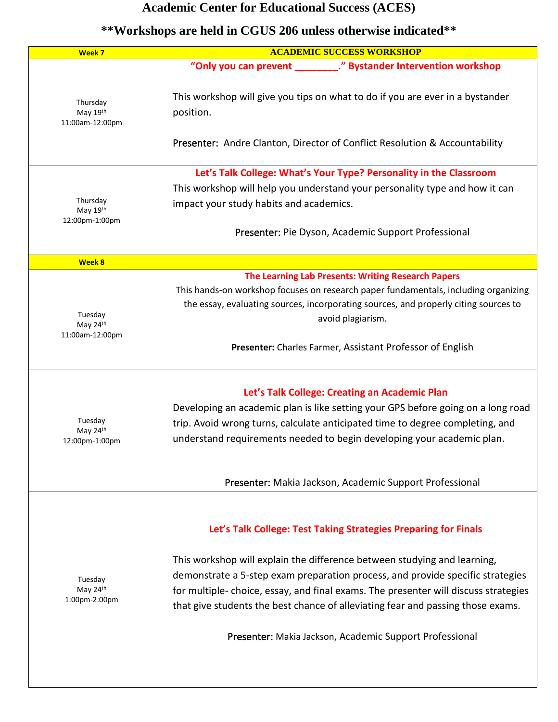| Week 7                                  | <b>ACADEMIC SUCCESS WORKSHOP</b>                                                                                                                                                                                                                                                                                                    |
|-----------------------------------------|-------------------------------------------------------------------------------------------------------------------------------------------------------------------------------------------------------------------------------------------------------------------------------------------------------------------------------------|
|                                         | "Only you can prevent _________." Bystander Intervention workshop                                                                                                                                                                                                                                                                   |
| Thursday<br>May 19th<br>11:00am-12:00pm | This workshop will give you tips on what to do if you are ever in a bystander<br>position.                                                                                                                                                                                                                                          |
|                                         | Presenter: Andre Clanton, Director of Conflict Resolution & Accountability                                                                                                                                                                                                                                                          |
|                                         | Let's Talk College: What's Your Type? Personality in the Classroom                                                                                                                                                                                                                                                                  |
|                                         | This workshop will help you understand your personality type and how it can                                                                                                                                                                                                                                                         |
| Thursday<br>May 19th                    | impact your study habits and academics.                                                                                                                                                                                                                                                                                             |
| 12:00pm-1:00pm                          | Presenter: Pie Dyson, Academic Support Professional                                                                                                                                                                                                                                                                                 |
| <b>Week 8</b>                           |                                                                                                                                                                                                                                                                                                                                     |
|                                         | The Learning Lab Presents: Writing Research Papers                                                                                                                                                                                                                                                                                  |
| Tuesday<br>May 24th                     | This hands-on workshop focuses on research paper fundamentals, including organizing<br>the essay, evaluating sources, incorporating sources, and properly citing sources to<br>avoid plagiarism.                                                                                                                                    |
| 11:00am-12:00pm                         | Presenter: Charles Farmer, Assistant Professor of English                                                                                                                                                                                                                                                                           |
| Tuesday                                 | Let's Talk College: Creating an Academic Plan<br>Developing an academic plan is like setting your GPS before going on a long road<br>trip. Avoid wrong turns, calculate anticipated time to degree completing, and                                                                                                                  |
| May 24th<br>12:00pm-1:00pm              | understand requirements needed to begin developing your academic plan.                                                                                                                                                                                                                                                              |
|                                         | Presenter: Makia Jackson, Academic Support Professional                                                                                                                                                                                                                                                                             |
|                                         | Let's Talk College: Test Taking Strategies Preparing for Finals                                                                                                                                                                                                                                                                     |
| Tuesday<br>May 24th<br>1:00pm-2:00pm    | This workshop will explain the difference between studying and learning,<br>demonstrate a 5-step exam preparation process, and provide specific strategies<br>for multiple-choice, essay, and final exams. The presenter will discuss strategies<br>that give students the best chance of alleviating fear and passing those exams. |
|                                         | Presenter: Makia Jackson, Academic Support Professional                                                                                                                                                                                                                                                                             |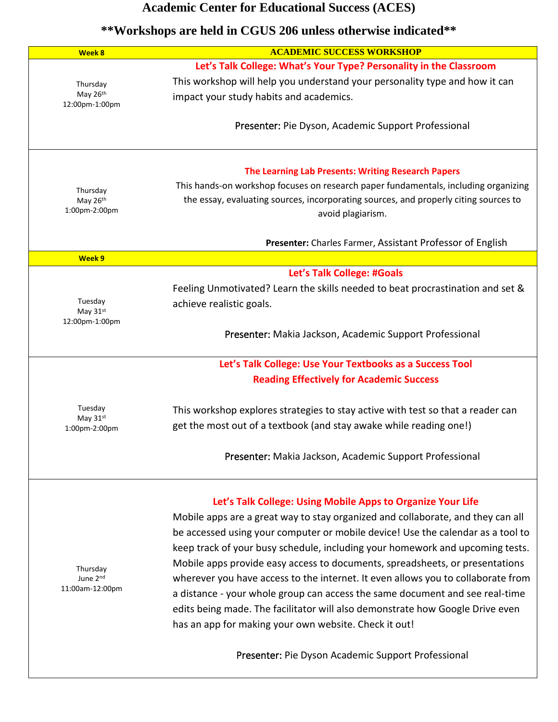| Let's Talk College: What's Your Type? Personality in the Classroom<br>This workshop will help you understand your personality type and how it can<br>This hands-on workshop focuses on research paper fundamentals, including organizing<br>the essay, evaluating sources, incorporating sources, and properly citing sources to<br>Presenter: Charles Farmer, Assistant Professor of English<br>Feeling Unmotivated? Learn the skills needed to beat procrastination and set &<br>Presenter: Makia Jackson, Academic Support Professional |
|--------------------------------------------------------------------------------------------------------------------------------------------------------------------------------------------------------------------------------------------------------------------------------------------------------------------------------------------------------------------------------------------------------------------------------------------------------------------------------------------------------------------------------------------|
|                                                                                                                                                                                                                                                                                                                                                                                                                                                                                                                                            |
|                                                                                                                                                                                                                                                                                                                                                                                                                                                                                                                                            |
|                                                                                                                                                                                                                                                                                                                                                                                                                                                                                                                                            |
|                                                                                                                                                                                                                                                                                                                                                                                                                                                                                                                                            |
|                                                                                                                                                                                                                                                                                                                                                                                                                                                                                                                                            |
|                                                                                                                                                                                                                                                                                                                                                                                                                                                                                                                                            |
|                                                                                                                                                                                                                                                                                                                                                                                                                                                                                                                                            |
|                                                                                                                                                                                                                                                                                                                                                                                                                                                                                                                                            |
|                                                                                                                                                                                                                                                                                                                                                                                                                                                                                                                                            |
|                                                                                                                                                                                                                                                                                                                                                                                                                                                                                                                                            |
|                                                                                                                                                                                                                                                                                                                                                                                                                                                                                                                                            |
|                                                                                                                                                                                                                                                                                                                                                                                                                                                                                                                                            |
|                                                                                                                                                                                                                                                                                                                                                                                                                                                                                                                                            |
|                                                                                                                                                                                                                                                                                                                                                                                                                                                                                                                                            |
|                                                                                                                                                                                                                                                                                                                                                                                                                                                                                                                                            |
|                                                                                                                                                                                                                                                                                                                                                                                                                                                                                                                                            |
|                                                                                                                                                                                                                                                                                                                                                                                                                                                                                                                                            |
|                                                                                                                                                                                                                                                                                                                                                                                                                                                                                                                                            |
| This workshop explores strategies to stay active with test so that a reader can                                                                                                                                                                                                                                                                                                                                                                                                                                                            |
|                                                                                                                                                                                                                                                                                                                                                                                                                                                                                                                                            |
| Presenter: Makia Jackson, Academic Support Professional                                                                                                                                                                                                                                                                                                                                                                                                                                                                                    |
|                                                                                                                                                                                                                                                                                                                                                                                                                                                                                                                                            |
| Mobile apps are a great way to stay organized and collaborate, and they can all                                                                                                                                                                                                                                                                                                                                                                                                                                                            |
| be accessed using your computer or mobile device! Use the calendar as a tool to                                                                                                                                                                                                                                                                                                                                                                                                                                                            |
|                                                                                                                                                                                                                                                                                                                                                                                                                                                                                                                                            |
| keep track of your busy schedule, including your homework and upcoming tests.                                                                                                                                                                                                                                                                                                                                                                                                                                                              |
| Mobile apps provide easy access to documents, spreadsheets, or presentations                                                                                                                                                                                                                                                                                                                                                                                                                                                               |
| wherever you have access to the internet. It even allows you to collaborate from                                                                                                                                                                                                                                                                                                                                                                                                                                                           |
| a distance - your whole group can access the same document and see real-time                                                                                                                                                                                                                                                                                                                                                                                                                                                               |
| edits being made. The facilitator will also demonstrate how Google Drive even                                                                                                                                                                                                                                                                                                                                                                                                                                                              |
|                                                                                                                                                                                                                                                                                                                                                                                                                                                                                                                                            |
|                                                                                                                                                                                                                                                                                                                                                                                                                                                                                                                                            |
| Let's Talk College: Using Mobile Apps to Organize Your Life                                                                                                                                                                                                                                                                                                                                                                                                                                                                                |